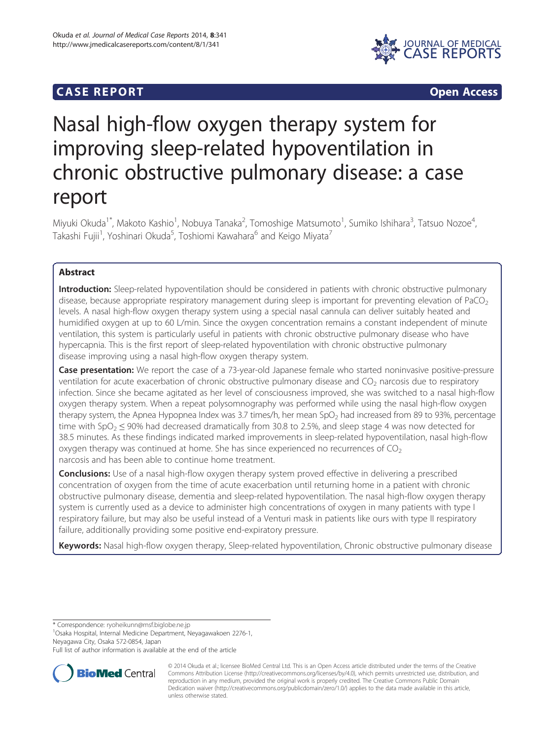# **CASE REPORT CASE REPORT**



# Nasal high-flow oxygen therapy system for improving sleep-related hypoventilation in chronic obstructive pulmonary disease: a case report

Miyuki Okuda<sup>1\*</sup>, Makoto Kashio<sup>1</sup>, Nobuya Tanaka<sup>2</sup>, Tomoshige Matsumoto<sup>1</sup>, Sumiko Ishihara<sup>3</sup>, Tatsuo Nozoe<sup>4</sup> , Takashi Fujii<sup>1</sup>, Yoshinari Okuda<sup>5</sup>, Toshiomi Kawahara<sup>6</sup> and Keigo Miyata<sup>7</sup>

# Abstract

Introduction: Sleep-related hypoventilation should be considered in patients with chronic obstructive pulmonary disease, because appropriate respiratory management during sleep is important for preventing elevation of PaCO<sub>2</sub> levels. A nasal high-flow oxygen therapy system using a special nasal cannula can deliver suitably heated and humidified oxygen at up to 60 L/min. Since the oxygen concentration remains a constant independent of minute ventilation, this system is particularly useful in patients with chronic obstructive pulmonary disease who have hypercapnia. This is the first report of sleep-related hypoventilation with chronic obstructive pulmonary disease improving using a nasal high-flow oxygen therapy system.

Case presentation: We report the case of a 73-year-old Japanese female who started noninvasive positive-pressure ventilation for acute exacerbation of chronic obstructive pulmonary disease and  $CO<sub>2</sub>$  narcosis due to respiratory infection. Since she became agitated as her level of consciousness improved, she was switched to a nasal high-flow oxygen therapy system. When a repeat polysomnography was performed while using the nasal high-flow oxygen therapy system, the Apnea Hypopnea Index was 3.7 times/h, her mean  $SpO<sub>2</sub>$  had increased from 89 to 93%, percentage time with  $SpO<sub>2</sub> \le 90\%$  had decreased dramatically from 30.8 to 2.5%, and sleep stage 4 was now detected for 38.5 minutes. As these findings indicated marked improvements in sleep-related hypoventilation, nasal high-flow oxygen therapy was continued at home. She has since experienced no recurrences of  $CO<sub>2</sub>$ narcosis and has been able to continue home treatment.

**Conclusions:** Use of a nasal high-flow oxygen therapy system proved effective in delivering a prescribed concentration of oxygen from the time of acute exacerbation until returning home in a patient with chronic obstructive pulmonary disease, dementia and sleep-related hypoventilation. The nasal high-flow oxygen therapy system is currently used as a device to administer high concentrations of oxygen in many patients with type I respiratory failure, but may also be useful instead of a Venturi mask in patients like ours with type II respiratory failure, additionally providing some positive end-expiratory pressure.

Keywords: Nasal high-flow oxygen therapy, Sleep-related hypoventilation, Chronic obstructive pulmonary disease

\* Correspondence: [ryoheikunn@msf.biglobe.ne.jp](mailto:ryoheikunn@msf.biglobe.ne.jp) <sup>1</sup>

Osaka Hospital, Internal Medicine Department, Neyagawakoen 2276-1, Neyagawa City, Osaka 572-0854, Japan

Full list of author information is available at the end of the article



© 2014 Okuda et al.; licensee BioMed Central Ltd. This is an Open Access article distributed under the terms of the Creative Commons Attribution License [\(http://creativecommons.org/licenses/by/4.0\)](http://creativecommons.org/licenses/by/4.0), which permits unrestricted use, distribution, and reproduction in any medium, provided the original work is properly credited. The Creative Commons Public Domain Dedication waiver [\(http://creativecommons.org/publicdomain/zero/1.0/](http://creativecommons.org/publicdomain/zero/1.0/)) applies to the data made available in this article, unless otherwise stated.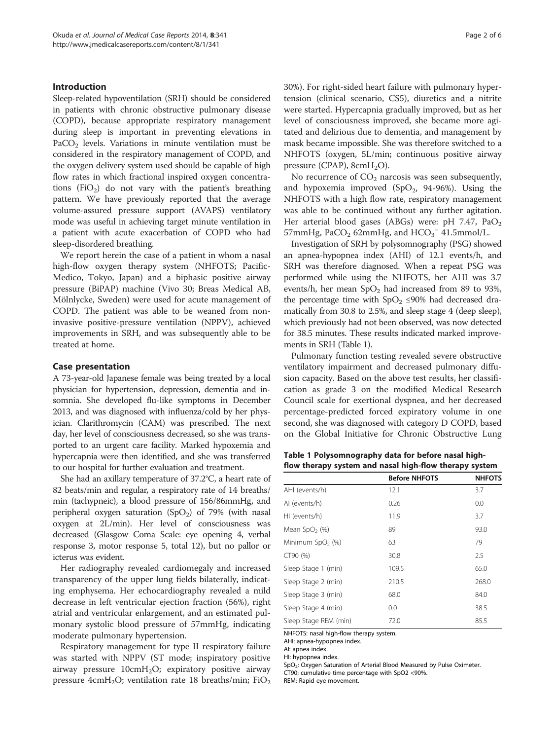## <span id="page-1-0"></span>Introduction

Sleep-related hypoventilation (SRH) should be considered in patients with chronic obstructive pulmonary disease (COPD), because appropriate respiratory management during sleep is important in preventing elevations in PaCO<sub>2</sub> levels. Variations in minute ventilation must be considered in the respiratory management of COPD, and the oxygen delivery system used should be capable of high flow rates in which fractional inspired oxygen concentrations  $(FiO<sub>2</sub>)$  do not vary with the patient's breathing pattern. We have previously reported that the average volume-assured pressure support (AVAPS) ventilatory mode was useful in achieving target minute ventilation in a patient with acute exacerbation of COPD who had sleep-disordered breathing.

We report herein the case of a patient in whom a nasal high-flow oxygen therapy system (NHFOTS; Pacific-Medico, Tokyo, Japan) and a biphasic positive airway pressure (BiPAP) machine (Vivo 30; Breas Medical AB, Mölnlycke, Sweden) were used for acute management of COPD. The patient was able to be weaned from noninvasive positive-pressure ventilation (NPPV), achieved improvements in SRH, and was subsequently able to be treated at home.

#### Case presentation

A 73-year-old Japanese female was being treated by a local physician for hypertension, depression, dementia and insomnia. She developed flu-like symptoms in December 2013, and was diagnosed with influenza/cold by her physician. Clarithromycin (CAM) was prescribed. The next day, her level of consciousness decreased, so she was transported to an urgent care facility. Marked hypoxemia and hypercapnia were then identified, and she was transferred to our hospital for further evaluation and treatment.

She had an axillary temperature of 37.2°C, a heart rate of 82 beats/min and regular, a respiratory rate of 14 breaths/ min (tachypneic), a blood pressure of 156/86mmHg, and peripheral oxygen saturation (SpO<sub>2</sub>) of 79% (with nasal oxygen at 2L/min). Her level of consciousness was decreased (Glasgow Coma Scale: eye opening 4, verbal response 3, motor response 5, total 12), but no pallor or icterus was evident.

Her radiography revealed cardiomegaly and increased transparency of the upper lung fields bilaterally, indicating emphysema. Her echocardiography revealed a mild decrease in left ventricular ejection fraction (56%), right atrial and ventricular enlargement, and an estimated pulmonary systolic blood pressure of 57mmHg, indicating moderate pulmonary hypertension.

Respiratory management for type II respiratory failure was started with NPPV (ST mode; inspiratory positive airway pressure  $10 \text{cm} H_2O$ ; expiratory positive airway pressure 4cmH<sub>2</sub>O; ventilation rate 18 breaths/min;  $FiO<sub>2</sub>$  30%). For right-sided heart failure with pulmonary hypertension (clinical scenario, CS5), diuretics and a nitrite were started. Hypercapnia gradually improved, but as her level of consciousness improved, she became more agitated and delirious due to dementia, and management by mask became impossible. She was therefore switched to a NHFOTS (oxygen, 5L/min; continuous positive airway pressure (CPAP),  $8cmH<sub>2</sub>O$ ).

No recurrence of  $CO<sub>2</sub>$  narcosis was seen subsequently, and hypoxemia improved  $(SpO<sub>2</sub>, 94-96%)$ . Using the NHFOTS with a high flow rate, respiratory management was able to be continued without any further agitation. Her arterial blood gases (ABGs) were:  $pH$  7.47, PaO<sub>2</sub> 57mmHg, PaCO<sub>2</sub> 62mmHg, and  $HCO_3^-$  41.5mmol/L.

Investigation of SRH by polysomnography (PSG) showed an apnea-hypopnea index (AHI) of 12.1 events/h, and SRH was therefore diagnosed. When a repeat PSG was performed while using the NHFOTS, her AHI was 3.7 events/h, her mean  $SpO<sub>2</sub>$  had increased from 89 to 93%, the percentage time with  $SpO<sub>2</sub> \le 90\%$  had decreased dramatically from 30.8 to 2.5%, and sleep stage 4 (deep sleep), which previously had not been observed, was now detected for 38.5 minutes. These results indicated marked improvements in SRH (Table 1).

Pulmonary function testing revealed severe obstructive ventilatory impairment and decreased pulmonary diffusion capacity. Based on the above test results, her classification as grade 3 on the modified Medical Research Council scale for exertional dyspnea, and her decreased percentage-predicted forced expiratory volume in one second, she was diagnosed with category D COPD, based on the Global Initiative for Chronic Obstructive Lung

Table 1 Polysomnography data for before nasal highflow therapy system and nasal high-flow therapy system

|                       | <b>Before NHFOTS</b> | <b>NHFOTS</b> |
|-----------------------|----------------------|---------------|
| AHI (events/h)        | 12.1                 | 3.7           |
| AI (events/h)         | 0.26                 | 0.0           |
| HI (events/h)         | 11.9                 | 3.7           |
| Mean $SpO2$ (%)       | 89                   | 93.0          |
| Minimum $SpO2(%)$     | 63                   | 79            |
| CT90 (%)              | 30.8                 | 2.5           |
| Sleep Stage 1 (min)   | 109.5                | 65.0          |
| Sleep Stage 2 (min)   | 210.5                | 268.0         |
| Sleep Stage 3 (min)   | 68.0                 | 84.0          |
| Sleep Stage 4 (min)   | 0.0                  | 38.5          |
| Sleep Stage REM (min) | 72.0                 | 85.5          |

NHFOTS: nasal high-flow therapy system.

AHI: apnea-hypopnea index.

AI: apnea index.

HI: hypopnea index.

SpO<sub>2</sub>: Oxygen Saturation of Arterial Blood Measured by Pulse Oximeter. CT90: cumulative time percentage with SpO2 <90%.

REM: Rapid eye movement.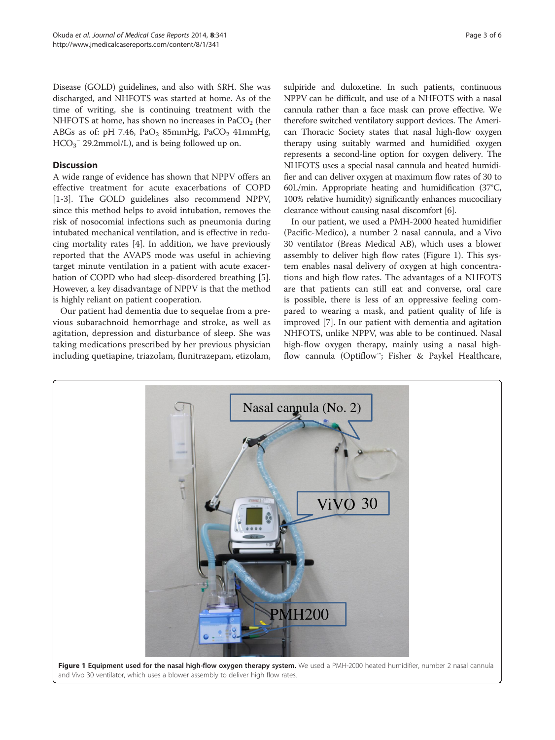<span id="page-2-0"></span>Disease (GOLD) guidelines, and also with SRH. She was discharged, and NHFOTS was started at home. As of the time of writing, she is continuing treatment with the NHFOTS at home, has shown no increases in  $PaCO<sub>2</sub>$  (her ABGs as of: pH 7.46,  $PaO<sub>2</sub>$  85mmHg,  $PaCO<sub>2</sub>$  41mmHg,  $HCO_3^-$  29.2mmol/L), and is being followed up on.

# **Discussion**

A wide range of evidence has shown that NPPV offers an effective treatment for acute exacerbations of COPD [[1-3](#page-4-0)]. The GOLD guidelines also recommend NPPV, since this method helps to avoid intubation, removes the risk of nosocomial infections such as pneumonia during intubated mechanical ventilation, and is effective in reducing mortality rates [\[4](#page-5-0)]. In addition, we have previously reported that the AVAPS mode was useful in achieving target minute ventilation in a patient with acute exacerbation of COPD who had sleep-disordered breathing [\[5](#page-5-0)]. However, a key disadvantage of NPPV is that the method is highly reliant on patient cooperation.

Our patient had dementia due to sequelae from a previous subarachnoid hemorrhage and stroke, as well as agitation, depression and disturbance of sleep. She was taking medications prescribed by her previous physician including quetiapine, triazolam, flunitrazepam, etizolam,

sulpiride and duloxetine. In such patients, continuous NPPV can be difficult, and use of a NHFOTS with a nasal cannula rather than a face mask can prove effective. We therefore switched ventilatory support devices. The American Thoracic Society states that nasal high-flow oxygen therapy using suitably warmed and humidified oxygen represents a second-line option for oxygen delivery. The NHFOTS uses a special nasal cannula and heated humidifier and can deliver oxygen at maximum flow rates of 30 to 60L/min. Appropriate heating and humidification (37°C, 100% relative humidity) significantly enhances mucociliary clearance without causing nasal discomfort [\[6\]](#page-5-0).

In our patient, we used a PMH-2000 heated humidifier (Pacific-Medico), a number 2 nasal cannula, and a Vivo 30 ventilator (Breas Medical AB), which uses a blower assembly to deliver high flow rates (Figure 1). This system enables nasal delivery of oxygen at high concentrations and high flow rates. The advantages of a NHFOTS are that patients can still eat and converse, oral care is possible, there is less of an oppressive feeling compared to wearing a mask, and patient quality of life is improved [[7\]](#page-5-0). In our patient with dementia and agitation NHFOTS, unlike NPPV, was able to be continued. Nasal high-flow oxygen therapy, mainly using a nasal highflow cannula (Optiflow™; Fisher & Paykel Healthcare,

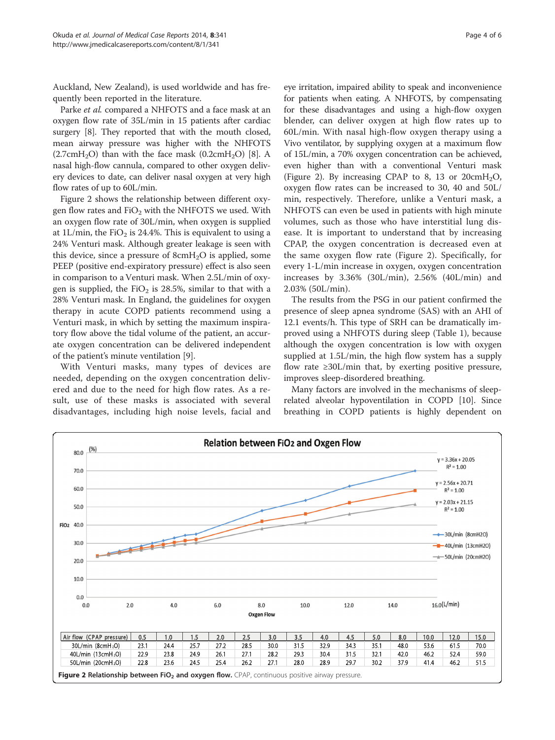Auckland, New Zealand), is used worldwide and has frequently been reported in the literature.

Parke et al. compared a NHFOTS and a face mask at an oxygen flow rate of 35L/min in 15 patients after cardiac surgery [[8\]](#page-5-0). They reported that with the mouth closed, mean airway pressure was higher with the NHFOTS  $(2.7cmH<sub>2</sub>O)$  than with the face mask  $(0.2cmH<sub>2</sub>O)$  [[8\]](#page-5-0). A nasal high-flow cannula, compared to other oxygen delivery devices to date, can deliver nasal oxygen at very high flow rates of up to 60L/min.

Figure 2 shows the relationship between different oxygen flow rates and  $FiO<sub>2</sub>$  with the NHFOTS we used. With an oxygen flow rate of 30L/min, when oxygen is supplied at 1L/min, the FiO<sub>2</sub> is 24.4%. This is equivalent to using a 24% Venturi mask. Although greater leakage is seen with this device, since a pressure of  $8\text{cm}H_2O$  is applied, some PEEP (positive end-expiratory pressure) effect is also seen in comparison to a Venturi mask. When 2.5L/min of oxygen is supplied, the  $FiO<sub>2</sub>$  is 28.5%, similar to that with a 28% Venturi mask. In England, the guidelines for oxygen therapy in acute COPD patients recommend using a Venturi mask, in which by setting the maximum inspiratory flow above the tidal volume of the patient, an accurate oxygen concentration can be delivered independent of the patient's minute ventilation [[9](#page-5-0)].

With Venturi masks, many types of devices are needed, depending on the oxygen concentration delivered and due to the need for high flow rates. As a result, use of these masks is associated with several disadvantages, including high noise levels, facial and

eye irritation, impaired ability to speak and inconvenience for patients when eating. A NHFOTS, by compensating for these disadvantages and using a high-flow oxygen blender, can deliver oxygen at high flow rates up to 60L/min. With nasal high-flow oxygen therapy using a Vivo ventilator, by supplying oxygen at a maximum flow of 15L/min, a 70% oxygen concentration can be achieved, even higher than with a conventional Venturi mask (Figure 2). By increasing CPAP to 8, 13 or  $20 \text{cm}H_2\text{O}$ , oxygen flow rates can be increased to 30, 40 and 50L/ min, respectively. Therefore, unlike a Venturi mask, a NHFOTS can even be used in patients with high minute volumes, such as those who have interstitial lung disease. It is important to understand that by increasing CPAP, the oxygen concentration is decreased even at the same oxygen flow rate (Figure 2). Specifically, for every 1-L/min increase in oxygen, oxygen concentration increases by 3.36% (30L/min), 2.56% (40L/min) and 2.03% (50L/min).

The results from the PSG in our patient confirmed the presence of sleep apnea syndrome (SAS) with an AHI of 12.1 events/h. This type of SRH can be dramatically improved using a NHFOTS during sleep (Table [1](#page-1-0)), because although the oxygen concentration is low with oxygen supplied at 1.5L/min, the high flow system has a supply flow rate  $\geq$ 30L/min that, by exerting positive pressure, improves sleep-disordered breathing.

Many factors are involved in the mechanisms of sleeprelated alveolar hypoventilation in COPD [[10](#page-5-0)]. Since breathing in COPD patients is highly dependent on

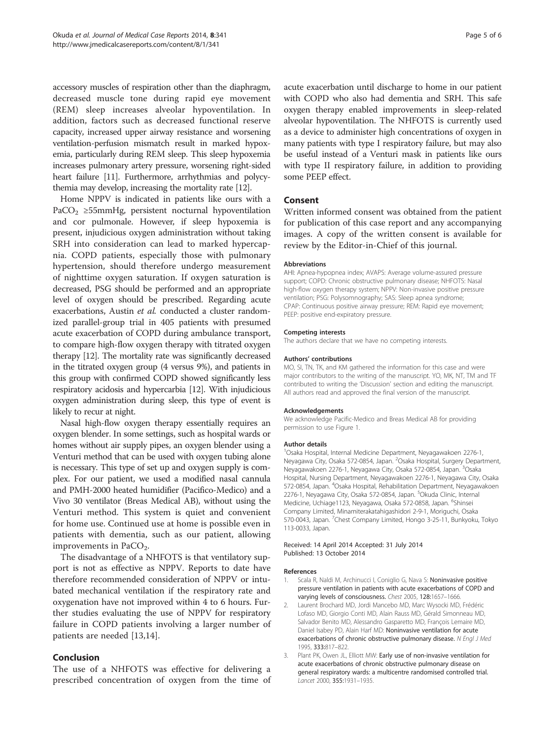<span id="page-4-0"></span>accessory muscles of respiration other than the diaphragm, decreased muscle tone during rapid eye movement (REM) sleep increases alveolar hypoventilation. In addition, factors such as decreased functional reserve capacity, increased upper airway resistance and worsening ventilation-perfusion mismatch result in marked hypoxemia, particularly during REM sleep. This sleep hypoxemia increases pulmonary artery pressure, worsening right-sided heart failure [\[11\]](#page-5-0). Furthermore, arrhythmias and polycythemia may develop, increasing the mortality rate [\[12](#page-5-0)].

Home NPPV is indicated in patients like ours with a PaCO<sub>2</sub> ≥55mmHg, persistent nocturnal hypoventilation and cor pulmonale. However, if sleep hypoxemia is present, injudicious oxygen administration without taking SRH into consideration can lead to marked hypercapnia. COPD patients, especially those with pulmonary hypertension, should therefore undergo measurement of nighttime oxygen saturation. If oxygen saturation is decreased, PSG should be performed and an appropriate level of oxygen should be prescribed. Regarding acute exacerbations, Austin et al. conducted a cluster randomized parallel-group trial in 405 patients with presumed acute exacerbation of COPD during ambulance transport, to compare high-flow oxygen therapy with titrated oxygen therapy [\[12](#page-5-0)]. The mortality rate was significantly decreased in the titrated oxygen group (4 versus 9%), and patients in this group with confirmed COPD showed significantly less respiratory acidosis and hypercarbia [\[12](#page-5-0)]. With injudicious oxygen administration during sleep, this type of event is likely to recur at night.

Nasal high-flow oxygen therapy essentially requires an oxygen blender. In some settings, such as hospital wards or homes without air supply pipes, an oxygen blender using a Venturi method that can be used with oxygen tubing alone is necessary. This type of set up and oxygen supply is complex. For our patient, we used a modified nasal cannula and PMH-2000 heated humidifier (Pacifico-Medico) and a Vivo 30 ventilator (Breas Medical AB), without using the Venturi method. This system is quiet and convenient for home use. Continued use at home is possible even in patients with dementia, such as our patient, allowing improvements in PaCO<sub>2</sub>.

The disadvantage of a NHFOTS is that ventilatory support is not as effective as NPPV. Reports to date have therefore recommended consideration of NPPV or intubated mechanical ventilation if the respiratory rate and oxygenation have not improved within 4 to 6 hours. Further studies evaluating the use of NPPV for respiratory failure in COPD patients involving a larger number of patients are needed [[13,14](#page-5-0)].

# Conclusion

The use of a NHFOTS was effective for delivering a prescribed concentration of oxygen from the time of acute exacerbation until discharge to home in our patient with COPD who also had dementia and SRH. This safe oxygen therapy enabled improvements in sleep-related alveolar hypoventilation. The NHFOTS is currently used as a device to administer high concentrations of oxygen in many patients with type I respiratory failure, but may also be useful instead of a Venturi mask in patients like ours with type II respiratory failure, in addition to providing some PEEP effect.

# Consent

Written informed consent was obtained from the patient for publication of this case report and any accompanying images. A copy of the written consent is available for review by the Editor-in-Chief of this journal.

#### Abbreviations

AHI: Apnea-hypopnea index; AVAPS: Average volume-assured pressure support; COPD: Chronic obstructive pulmonary disease; NHFOTS: Nasal high-flow oxygen therapy system; NPPV: Non-invasive positive pressure ventilation; PSG: Polysomnography; SAS: Sleep apnea syndrome; CPAP: Continuous positive airway pressure; REM: Rapid eye movement; PEEP: positive end-expiratory pressure.

#### Competing interests

The authors declare that we have no competing interests.

#### Authors' contributions

MO, SI, TN, TK, and KM gathered the information for this case and were major contributors to the writing of the manuscript. YO, MK, NT, TM and TF contributed to writing the '[Discussion](#page-2-0)' section and editing the manuscript. All authors read and approved the final version of the manuscript.

#### Acknowledgements

We acknowledge Pacific-Medico and Breas Medical AB for providing permission to use Figure [1](#page-2-0).

#### Author details

1 Osaka Hospital, Internal Medicine Department, Neyagawakoen 2276-1, Neyagawa City, Osaka 572-0854, Japan. <sup>2</sup>Osaka Hospital, Surgery Department, Neyagawakoen 2276-1, Neyagawa City, Osaka 572-0854, Japan. <sup>3</sup>Osaka Hospital, Nursing Department, Neyagawakoen 2276-1, Neyagawa City, Osaka 572-0854, Japan. <sup>4</sup>Osaka Hospital, Rehabilitation Department, Neyagawakoen 2276-1, Neyagawa City, Osaka 572-0854, Japan. <sup>5</sup>Okuda Clinic, Internal Medicine, Uchiage1123, Neyagawa, Osaka 572-0858, Japan. <sup>6</sup>Shinsei Company Limited, Minamiterakatahigashidori 2-9-1, Moriguchi, Osaka 570-0043, Japan. <sup>7</sup>Chest Company Limited, Hongo 3-25-11, Bunkyoku, Tokyc 113-0033, Japan.

#### Received: 14 April 2014 Accepted: 31 July 2014 Published: 13 October 2014

#### References

- Scala R, Naldi M, Archinucci I, Coniglio G, Nava S: Noninvasive positive pressure ventilation in patients with acute exacerbations of COPD and varying levels of consciousness. Chest 2005, 128:1657–1666.
- 2. Laurent Brochard MD, Jordi Mancebo MD, Marc Wysocki MD, Frédéric Lofaso MD, Giorgio Conti MD, Alain Rauss MD, Gérald Simonneau MD, Salvador Benito MD, Alessandro Gasparetto MD, François Lemaire MD, Daniel Isabey PD, Alain Harf MD: Noninvasive ventilation for acute exacerbations of chronic obstructive pulmonary disease. N Engl J Med 1995, 333:817–822.
- 3. Plant PK, Owen JL, Elliott MW: Early use of non-invasive ventilation for acute exacerbations of chronic obstructive pulmonary disease on general respiratory wards: a multicentre randomised controlled trial. Lancet 2000, 355:1931–1935.